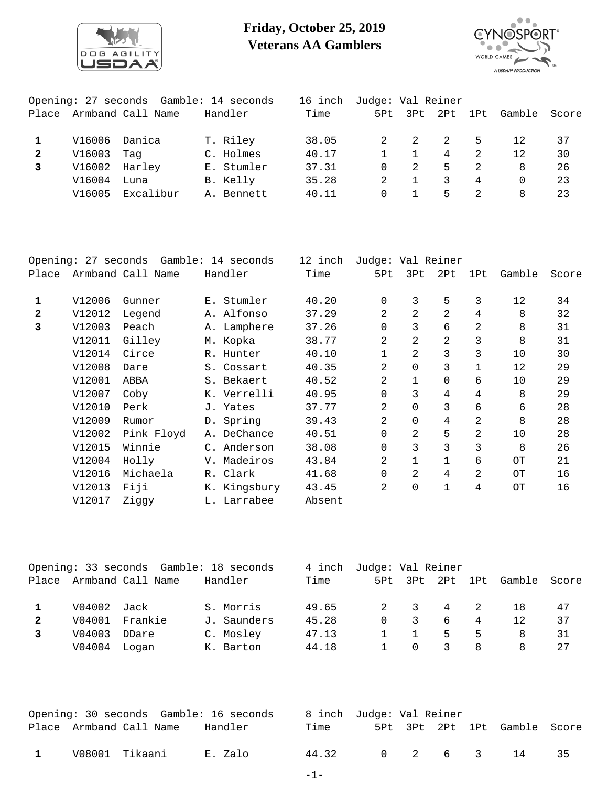

## **Friday, October 25, 2019 Veterans AA Gamblers**



|              |        | Opening: 27 seconds Gamble: 14 seconds |            | 16 inch | Judge: Val Reiner |                 |                |                |          |       |
|--------------|--------|----------------------------------------|------------|---------|-------------------|-----------------|----------------|----------------|----------|-------|
| Place        |        | Armband Call Name                      | Handler    | Time    |                   | 5Pt 3Pt 2Pt 1Pt |                |                | Gamble   | Score |
|              |        |                                        |            |         |                   |                 |                |                |          |       |
|              | V16006 | Danica                                 | T. Riley   | 38.05   | 2                 | 2               | $\overline{2}$ | .5.            | 12       | 37    |
| $\mathbf{2}$ | V16003 | Taq                                    | C. Holmes  | 40.17   |                   |                 | 4              | $\overline{2}$ | 12       | 30    |
|              | V16002 | Harley                                 | E. Stumler | 37.31   | $\Omega$          | 2.              | $5 -$          | 2.             | 8        | 26    |
|              | V16004 | Luna                                   | B. Kelly   | 35.28   |                   |                 | 3              | $\overline{4}$ | $\Omega$ | 23    |
|              | V16005 | Excalibur                              | A. Bennett | 40.11   | $\Omega$          |                 | 5              | 2              | 8        | 23    |
|              |        |                                        |            |         |                   |                 |                |                |          |       |

|              |        | Opening: 27 seconds Gamble: 14 seconds |              | 12 inch | Judge: Val Reiner |                |                 |     |        |       |
|--------------|--------|----------------------------------------|--------------|---------|-------------------|----------------|-----------------|-----|--------|-------|
| Place        |        | Armband Call Name                      | Handler      | Time    | 5Pt               | 3Pt            | 2P <sub>t</sub> | 1Pt | Gamble | Score |
|              |        |                                        |              |         |                   |                |                 |     |        |       |
| $\mathbf{1}$ | V12006 | Gunner                                 | E. Stumler   | 40.20   | 0                 | 3              | 5               | 3   | 12     | 34    |
| $\mathbf{z}$ | V12012 | Legend                                 | A. Alfonso   | 37.29   | 2                 | 2              | $\overline{2}$  | 4   | 8      | 32    |
| 3            | V12003 | Peach                                  | A. Lamphere  | 37.26   | 0                 | 3              | б               | 2   | 8      | 31    |
|              | V12011 | Gilley                                 | M. Kopka     | 38.77   | $\overline{2}$    | $\overline{2}$ | 2               | 3   | 8      | 31    |
|              | V12014 | Circe                                  | R. Hunter    | 40.10   | 1                 | 2              | 3               | 3   | 10     | 30    |
|              | V12008 | Dare                                   | S. Cossart   | 40.35   | $\overline{2}$    | $\mathbf 0$    | 3               |     | 12     | 29    |
|              | V12001 | ABBA                                   | S. Bekaert   | 40.52   | $\overline{a}$    | $\mathbf 1$    | $\Omega$        | б.  | 10     | 29    |
|              | V12007 | Coby                                   | K. Verrelli  | 40.95   | 0                 | 3              | 4               | 4   | 8      | 29    |
|              | V12010 | Perk                                   | J. Yates     | 37.77   | $\overline{2}$    | $\mathbf 0$    | 3               | 6   | 6      | 28    |
|              | V12009 | Rumor                                  | D. Spring    | 39.43   | 2                 | $\mathbf 0$    | 4               | 2   | 8      | 28    |
|              | V12002 | Pink Floyd                             | A. DeChance  | 40.51   | $\mathbf 0$       | 2              | 5               | 2   | 10     | 28    |
|              | V12015 | Winnie                                 | C. Anderson  | 38.08   | 0                 | 3              | 3               | 3   | 8      | 26    |
|              | V12004 | Holly                                  | V. Madeiros  | 43.84   | 2                 | 1              | $\mathbf{1}$    | 6   | OТ     | 21    |
|              | V12016 | Michaela                               | R. Clark     | 41.68   | 0                 | 2              | 4               | 2   | OТ     | 16    |
|              | V12013 | Fiji                                   | K. Kingsbury | 43.45   | 2                 | $\mathbf 0$    | 1               | 4   | OТ     | 16    |
|              | V12017 | Ziggy                                  | L. Larrabee  | Absent  |                   |                |                 |     |        |       |

|              |        | Opening: 33 seconds Gamble: 18 seconds |             | 4 inch | Judge: Val Reiner |          |   |                |                              |    |
|--------------|--------|----------------------------------------|-------------|--------|-------------------|----------|---|----------------|------------------------------|----|
| Place        |        | Armband Call Name                      | Handler     | Time   |                   |          |   |                | 5Pt 3Pt 2Pt 1Pt Gamble Score |    |
|              |        |                                        |             |        |                   |          |   |                |                              |    |
|              | V04002 | Jack                                   | S. Morris   | 49.65  |                   | 3        | 4 | $\overline{2}$ | 18                           | 47 |
| $\mathbf{2}$ |        | V04001 Frankie                         | J. Saunders | 45.28  | $\Omega$          |          | 6 | 4              | 12                           | 37 |
|              | V04003 | DDare                                  | C. Mosley   | 47.13  |                   |          | 5 | 5              | 8                            | 31 |
|              | V04004 | Loqan                                  | K. Barton   | 44.18  |                   | $\Omega$ | 3 | 8              | 8                            | 27 |
|              |        |                                        |             |        |                   |          |   |                |                              |    |

|              | Opening: 30 seconds Gamble: 16 seconds |         |       | 8 inch Judge: Val Reiner |  |                              |      |
|--------------|----------------------------------------|---------|-------|--------------------------|--|------------------------------|------|
|              | Place Armband Call Name                | Handler | Time  |                          |  | 5Pt 3Pt 2Pt 1Pt Gamble Score |      |
| $\mathbf{1}$ | V08001 Tikaani                         | E. Zalo | 44.32 |                          |  | 0 2 6 3 14                   | - 35 |